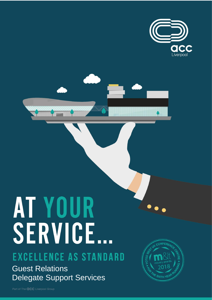

# AT YOUR SERVICE...

# EXCELLENCE AS STANDARD

**Guest Relations Delegate Support Services** 

CONFEREN **SIXTH YE!** 

Part of The **QCC** Liverpool Group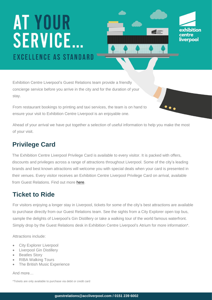# **AT YOUR SERVICE.. EXCELLENCE AS STANDARD**

exhibition centre liverpool

exhibition

Exhibition Centre Liverpool's Guest Relations team provide a friendly concierge service before you arrive in the city and for the duration of your stay.

From restaurant bookings to printing and taxi services, the team is on hand to ensure your visit to Exhibition Centre Liverpool is an enjoyable one.

Ahead of your arrival we have put together a selection of useful information to help you make the most of your visit.

# **Privilege Card**

The Exhibition Centre Liverpool Privilege Card is available to every visitor. It is packed with offers, discounts and privileges across a range of attractions throughout Liverpool. Some of the city's leading brands and best known attractions will welcome you with special deals when your card is presented in their venues. Every visitor receives an Exhibition Centre Liverpool Privilege Card on arrival, available from Guest Relations. Find out more [here.](https://www.accliverpool.com/visiting-us/delegate-services/delegate-card/)

# **Ticket to Ride**

For visitors enjoying a longer stay in Liverpool, tickets for some of the city's best attractions are available to purchase directly from our Guest Relations team. See the sights from a City Explorer open top bus, sample the delights of Liverpool's Gin Distillery or take a walking tour of the world famous waterfront. Simply drop by the Guest Relations desk in Exhibition Centre Liverpool's Atrium for more information\*.

Attractions include:

- City Explorer Liverpool
- Liverpool Gin Distillery
- Beatles Story
- RIBA Walking Tours
- The British Music Experience

And more…

\*Tickets are only available to purchase via debit or credit card